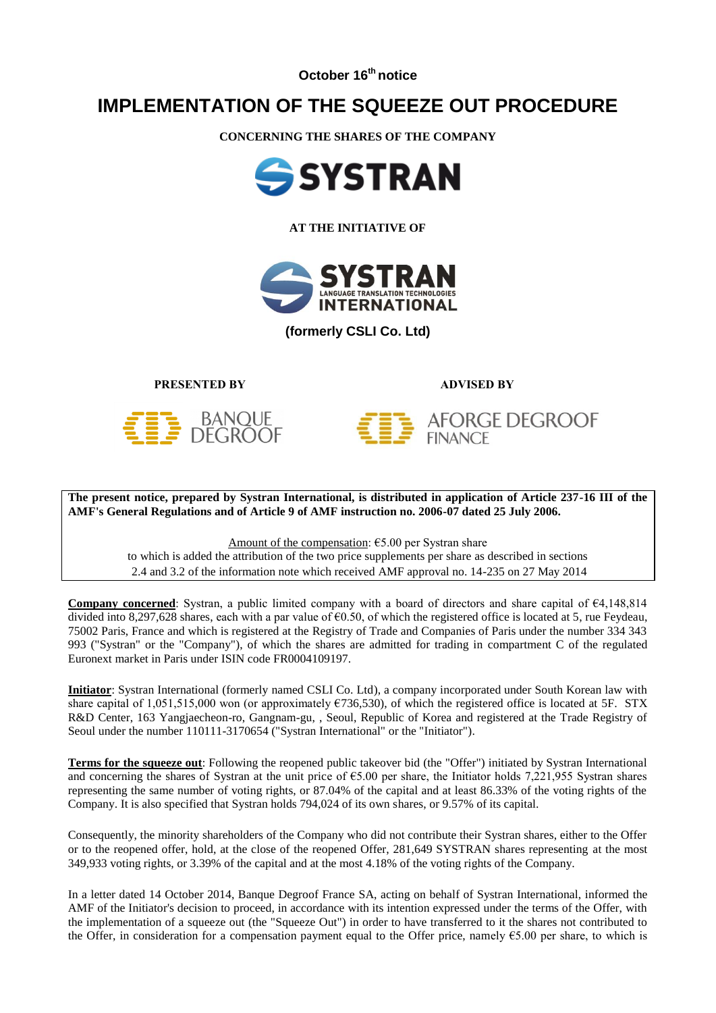**October 16th notice**

## **IMPLEMENTATION OF THE SQUEEZE OUT PROCEDURE**

**CONCERNING THE SHARES OF THE COMPANY**



**AT THE INITIATIVE OF**



**(formerly CSLI Co. Ltd)**

**PRESENTED BY ADVISED BY**

**FINANCE** 

**AFORGE DEGROOF** 





**The present notice, prepared by Systran International, is distributed in application of Article 237-16 III of the AMF's General Regulations and of Article 9 of AMF instruction no. 2006-07 dated 25 July 2006.**

Amount of the compensation: €5.00 per Systran share

to which is added the attribution of the two price supplements per share as described in sections 2.4 and 3.2 of the information note which received AMF approval no. 14-235 on 27 May 2014

**Company concerned**: Systran, a public limited company with a board of directors and share capital of €4,148,814 divided into 8,297,628 shares, each with a par value of  $\epsilon$ 0.50, of which the registered office is located at 5, rue Feydeau, 75002 Paris, France and which is registered at the Registry of Trade and Companies of Paris under the number 334 343 993 ("Systran" or the "Company"), of which the shares are admitted for trading in compartment C of the regulated Euronext market in Paris under ISIN code FR0004109197.

**Initiator**: Systran International (formerly named CSLI Co. Ltd), a company incorporated under South Korean law with share capital of 1,051,515,000 won (or approximately  $\epsilon$ 736,530), of which the registered office is located at 5F. STX R&D Center, 163 Yangjaecheon-ro, Gangnam-gu, , Seoul, Republic of Korea and registered at the Trade Registry of Seoul under the number 110111-3170654 ("Systran International" or the "Initiator").

**Terms for the squeeze out**: Following the reopened public takeover bid (the "Offer") initiated by Systran International and concerning the shares of Systran at the unit price of €5.00 per share, the Initiator holds 7,221,955 Systran shares representing the same number of voting rights, or 87.04% of the capital and at least 86.33% of the voting rights of the Company. It is also specified that Systran holds 794,024 of its own shares, or 9.57% of its capital.

Consequently, the minority shareholders of the Company who did not contribute their Systran shares, either to the Offer or to the reopened offer, hold, at the close of the reopened Offer, 281,649 SYSTRAN shares representing at the most 349,933 voting rights, or 3.39% of the capital and at the most 4.18% of the voting rights of the Company.

In a letter dated 14 October 2014, Banque Degroof France SA, acting on behalf of Systran International, informed the AMF of the Initiator's decision to proceed, in accordance with its intention expressed under the terms of the Offer, with the implementation of a squeeze out (the "Squeeze Out") in order to have transferred to it the shares not contributed to the Offer, in consideration for a compensation payment equal to the Offer price, namely  $65.00$  per share, to which is